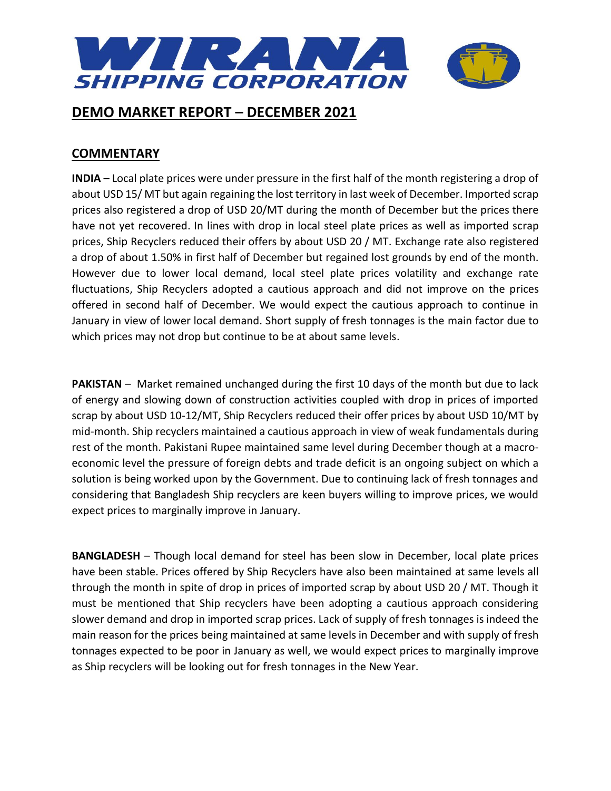

### **COMMENTARY**

**INDIA** – Local plate prices were under pressure in the first half of the month registering a drop of about USD 15/ MT but again regaining the lost territory in last week of December. Imported scrap prices also registered a drop of USD 20/MT during the month of December but the prices there have not yet recovered. In lines with drop in local steel plate prices as well as imported scrap prices, Ship Recyclers reduced their offers by about USD 20 / MT. Exchange rate also registered a drop of about 1.50% in first half of December but regained lost grounds by end of the month. However due to lower local demand, local steel plate prices volatility and exchange rate fluctuations, Ship Recyclers adopted a cautious approach and did not improve on the prices offered in second half of December. We would expect the cautious approach to continue in January in view of lower local demand. Short supply of fresh tonnages is the main factor due to which prices may not drop but continue to be at about same levels.

**PAKISTAN** – Market remained unchanged during the first 10 days of the month but due to lack of energy and slowing down of construction activities coupled with drop in prices of imported scrap by about USD 10-12/MT, Ship Recyclers reduced their offer prices by about USD 10/MT by mid-month. Ship recyclers maintained a cautious approach in view of weak fundamentals during rest of the month. Pakistani Rupee maintained same level during December though at a macroeconomic level the pressure of foreign debts and trade deficit is an ongoing subject on which a solution is being worked upon by the Government. Due to continuing lack of fresh tonnages and considering that Bangladesh Ship recyclers are keen buyers willing to improve prices, we would expect prices to marginally improve in January.

**BANGLADESH** – Though local demand for steel has been slow in December, local plate prices have been stable. Prices offered by Ship Recyclers have also been maintained at same levels all through the month in spite of drop in prices of imported scrap by about USD 20 / MT. Though it must be mentioned that Ship recyclers have been adopting a cautious approach considering slower demand and drop in imported scrap prices. Lack of supply of fresh tonnages is indeed the main reason for the prices being maintained at same levels in December and with supply of fresh tonnages expected to be poor in January as well, we would expect prices to marginally improve as Ship recyclers will be looking out for fresh tonnages in the New Year.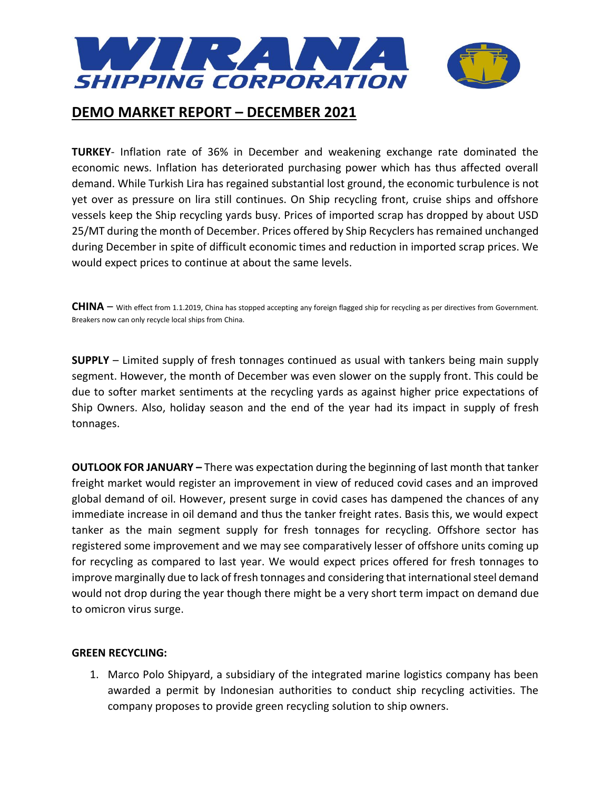

**TURKEY**- Inflation rate of 36% in December and weakening exchange rate dominated the economic news. Inflation has deteriorated purchasing power which has thus affected overall demand. While Turkish Lira has regained substantial lost ground, the economic turbulence is not yet over as pressure on lira still continues. On Ship recycling front, cruise ships and offshore vessels keep the Ship recycling yards busy. Prices of imported scrap has dropped by about USD 25/MT during the month of December. Prices offered by Ship Recyclers has remained unchanged during December in spite of difficult economic times and reduction in imported scrap prices. We would expect prices to continue at about the same levels.

**CHINA** – With effect from 1.1.2019, China has stopped accepting any foreign flagged ship for recycling as per directives from Government. Breakers now can only recycle local ships from China.

**SUPPLY** – Limited supply of fresh tonnages continued as usual with tankers being main supply segment. However, the month of December was even slower on the supply front. This could be due to softer market sentiments at the recycling yards as against higher price expectations of Ship Owners. Also, holiday season and the end of the year had its impact in supply of fresh tonnages.

**OUTLOOK FOR JANUARY –** There was expectation during the beginning of last month that tanker freight market would register an improvement in view of reduced covid cases and an improved global demand of oil. However, present surge in covid cases has dampened the chances of any immediate increase in oil demand and thus the tanker freight rates. Basis this, we would expect tanker as the main segment supply for fresh tonnages for recycling. Offshore sector has registered some improvement and we may see comparatively lesser of offshore units coming up for recycling as compared to last year. We would expect prices offered for fresh tonnages to improve marginally due to lack of fresh tonnages and considering that international steel demand would not drop during the year though there might be a very short term impact on demand due to omicron virus surge.

### **GREEN RECYCLING:**

1. Marco Polo Shipyard, a subsidiary of the integrated marine logistics company has been awarded a permit by Indonesian authorities to conduct ship recycling activities. The company proposes to provide green recycling solution to ship owners.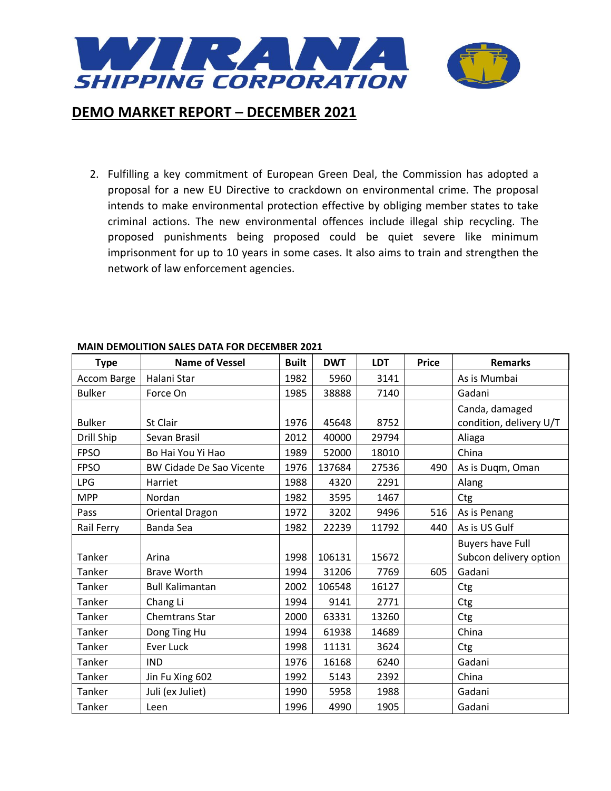

2. Fulfilling a key commitment of European Green Deal, the Commission has adopted a proposal for a new EU Directive to crackdown on environmental crime. The proposal intends to make environmental protection effective by obliging member states to take criminal actions. The new environmental offences include illegal ship recycling. The proposed punishments being proposed could be quiet severe like minimum imprisonment for up to 10 years in some cases. It also aims to train and strengthen the network of law enforcement agencies.

| <b>Type</b>   | <b>Name of Vessel</b>           | <b>Built</b> | <b>DWT</b> | <b>LDT</b> | <b>Price</b> | <b>Remarks</b>          |
|---------------|---------------------------------|--------------|------------|------------|--------------|-------------------------|
| Accom Barge   | Halani Star                     | 1982         | 5960       | 3141       |              | As is Mumbai            |
| <b>Bulker</b> | Force On                        | 1985         | 38888      | 7140       |              | Gadani                  |
|               |                                 |              |            |            |              | Canda, damaged          |
| <b>Bulker</b> | St Clair                        | 1976         | 45648      | 8752       |              | condition, delivery U/T |
| Drill Ship    | Sevan Brasil                    | 2012         | 40000      | 29794      |              | Aliaga                  |
| <b>FPSO</b>   | Bo Hai You Yi Hao               | 1989         | 52000      | 18010      |              | China                   |
| <b>FPSO</b>   | <b>BW Cidade De Sao Vicente</b> | 1976         | 137684     | 27536      | 490          | As is Duqm, Oman        |
| <b>LPG</b>    | Harriet                         | 1988         | 4320       | 2291       |              | Alang                   |
| <b>MPP</b>    | Nordan                          | 1982         | 3595       | 1467       |              | Ctg                     |
| Pass          | Oriental Dragon                 | 1972         | 3202       | 9496       | 516          | As is Penang            |
| Rail Ferry    | <b>Banda Sea</b>                | 1982         | 22239      | 11792      | 440          | As is US Gulf           |
|               |                                 |              |            |            |              | <b>Buyers have Full</b> |
| Tanker        | Arina                           | 1998         | 106131     | 15672      |              | Subcon delivery option  |
| Tanker        | <b>Brave Worth</b>              | 1994         | 31206      | 7769       | 605          | Gadani                  |
| Tanker        | <b>Bull Kalimantan</b>          | 2002         | 106548     | 16127      |              | Ctg                     |
| Tanker        | Chang Li                        | 1994         | 9141       | 2771       |              | Ctg                     |
| Tanker        | <b>Chemtrans Star</b>           | 2000         | 63331      | 13260      |              | Ctg                     |
| Tanker        | Dong Ting Hu                    | 1994         | 61938      | 14689      |              | China                   |
| Tanker        | <b>Ever Luck</b>                | 1998         | 11131      | 3624       |              | Ctg                     |
| Tanker        | <b>IND</b>                      | 1976         | 16168      | 6240       |              | Gadani                  |
| Tanker        | Jin Fu Xing 602                 | 1992         | 5143       | 2392       |              | China                   |
| Tanker        | Juli (ex Juliet)                | 1990         | 5958       | 1988       |              | Gadani                  |
| Tanker        | Leen                            | 1996         | 4990       | 1905       |              | Gadani                  |

### **MAIN DEMOLITION SALES DATA FOR DECEMBER 2021**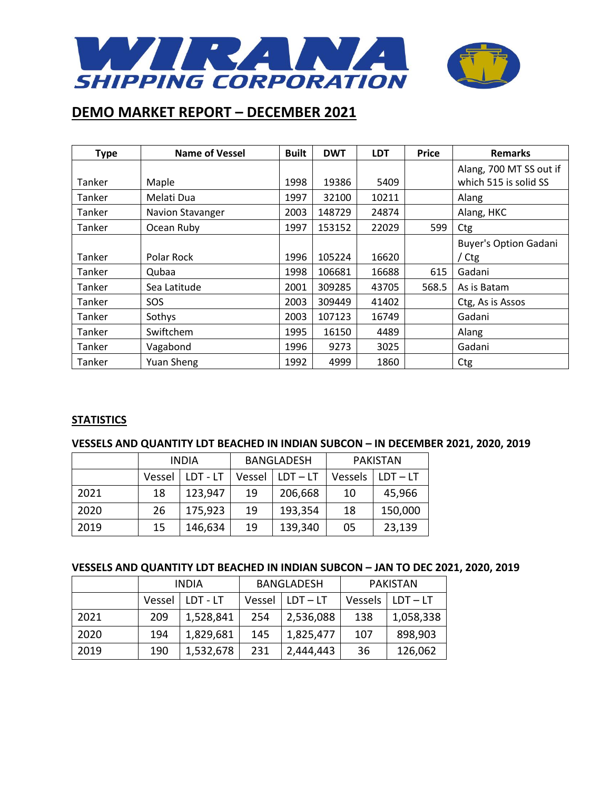

| <b>Type</b> | <b>Name of Vessel</b> | <b>Built</b> | <b>DWT</b> | <b>LDT</b> | <b>Price</b> | <b>Remarks</b>                                   |
|-------------|-----------------------|--------------|------------|------------|--------------|--------------------------------------------------|
| Tanker      | Maple                 | 1998         | 19386      | 5409       |              | Alang, 700 MT SS out if<br>which 515 is solid SS |
| Tanker      | Melati Dua            | 1997         | 32100      | 10211      |              | Alang                                            |
| Tanker      | Navion Stavanger      | 2003         | 148729     | 24874      |              | Alang, HKC                                       |
| Tanker      | Ocean Ruby            | 1997         | 153152     | 22029      | 599          | Ctg                                              |
|             |                       |              |            |            |              | <b>Buyer's Option Gadani</b>                     |
| Tanker      | Polar Rock            | 1996         | 105224     | 16620      |              | Ctg                                              |
| Tanker      | Qubaa                 | 1998         | 106681     | 16688      | 615          | Gadani                                           |
| Tanker      | Sea Latitude          | 2001         | 309285     | 43705      | 568.5        | As is Batam                                      |
| Tanker      | SOS                   | 2003         | 309449     | 41402      |              | Ctg, As is Assos                                 |
| Tanker      | Sothys                | 2003         | 107123     | 16749      |              | Gadani                                           |
| Tanker      | Swiftchem             | 1995         | 16150      | 4489       |              | Alang                                            |
| Tanker      | Vagabond              | 1996         | 9273       | 3025       |              | Gadani                                           |
| Tanker      | Yuan Sheng            | 1992         | 4999       | 1860       |              | Ctg                                              |

### **STATISTICS**

### **VESSELS AND QUANTITY LDT BEACHED IN INDIAN SUBCON – IN DECEMBER 2021, 2020, 2019**

|      | <b>INDIA</b> |          | <b>BANGLADESH</b> |            | <b>PAKISTAN</b> |            |
|------|--------------|----------|-------------------|------------|-----------------|------------|
|      | Vessel       | LDT - LT | Vessel            | $LDT - LT$ | Vessels         | $LDT - LT$ |
| 2021 | 18           | 123,947  | 19                | 206,668    | 10              | 45,966     |
| 2020 | 26           | 175,923  | 19                | 193,354    | 18              | 150,000    |
| 2019 | 15           | 146,634  | 19                | 139,340    | 05              | 23,139     |

### **VESSELS AND QUANTITY LDT BEACHED IN INDIAN SUBCON – JAN TO DEC 2021, 2020, 2019**

|      | <b>INDIA</b> |           | <b>BANGLADESH</b> |            | PAKISTAN |            |
|------|--------------|-----------|-------------------|------------|----------|------------|
|      | Vessel       | LDT - LT  | Vessel            | $LDT - LT$ | Vessels  | $LDT - LT$ |
| 2021 | 209          | 1,528,841 | 254               | 2,536,088  | 138      | 1,058,338  |
| 2020 | 194          | 1,829,681 | 145               | 1,825,477  | 107      | 898,903    |
| 2019 | 190          | 1,532,678 | 231               | 2,444,443  | 36       | 126,062    |